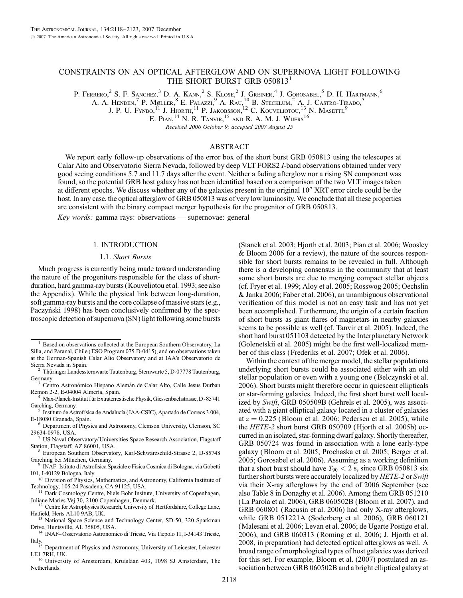# CONSTRAINTS ON AN OPTICAL AFTERGLOW AND ON SUPERNOVA LIGHT FOLLOWING THE SHORT BURST GRB 050813<sup>1</sup>

P. Ferrero,<sup>2</sup> S. F. Sanchez,<sup>3</sup> D. A. Kann,<sup>2</sup> S. Klose,<sup>2</sup> J. Greiner,<sup>4</sup> J. Gorosabel,<sup>5</sup> D. H. Hartmann,<sup>6</sup>

A. A. Henden,<sup>7</sup> P. Møller,<sup>8</sup> E. Palazzi,<sup>9</sup> A. Rau,<sup>10</sup> B. Stecklum,<sup>2</sup> A. J. Castro-Tirado,<sup>5</sup>

J. P. U. Fynbo,  $^{11}$  J. Hjorth,  $^{11}$  P. Jakobsson,  $^{12}$  C. Kouveliotou,  $^{13}$  N. Masetti,  $^{9}$ 

E. PIAN, <sup>14</sup> N. R. TANVIR, <sup>15</sup> AND R. A. M. J. WIJERS<sup>16</sup>

Received 2006 October 9; accepted 2007 August 25

### ABSTRACT

We report early follow-up observations of the error box of the short burst GRB 050813 using the telescopes at Calar Alto and Observatorio Sierra Nevada, followed by deep VLT FORS2 I-band observations obtained under very good seeing conditions 5.7 and 11.7 days after the event. Neither a fading afterglow nor a rising SN component was found, so the potential GRB host galaxy has not been identified based on a comparison of the two VLT images taken at different epochs. We discuss whether any of the galaxies present in the original 10" XRT error circle could be the host. In any case, the optical afterglow of GRB 050813 was of very low luminosity. We conclude that all these properties are consistent with the binary compact merger hypothesis for the progenitor of GRB 050813.

Key words: gamma rays: observations — supernovae: general

### 1. INTRODUCTION

#### 1.1. Short Bursts

Much progress is currently being made toward understanding the nature of the progenitors responsible for the class of shortduration, hard gamma-ray bursts (Kouveliotou et al. 1993; see also the Appendix). While the physical link between long-duration, soft gamma-ray bursts and the core collapse of massive stars (e.g., Paczyński 1998) has been conclusively confirmed by the spectroscopic detection of supernova (SN ) light following some bursts

<sup>10</sup> Division of Physics, Mathematics, and Astronomy, California Institute of Technology, 105-24 Pasadena, CA 91125, USA.

(Stanek et al. 2003; Hjorth et al. 2003; Pian et al. 2006; Woosley & Bloom 2006 for a review), the nature of the sources responsible for short bursts remains to be revealed in full. Although there is a developing consensus in the community that at least some short bursts are due to merging compact stellar objects (cf. Fryer et al. 1999; Aloy et al. 2005; Rosswog 2005; Oechslin & Janka 2006; Faber et al. 2006), an unambiguous observational verification of this model is not an easy task and has not yet been accomplished. Furthermore, the origin of a certain fraction of short bursts as giant flares of magnetars in nearby galaxies seems to be possible as well (cf. Tanvir et al. 2005). Indeed, the short hard burst 051103 detected by the Interplanetary Network (Golenetskii et al. 2005) might be the first well-localized member of this class (Frederiks et al. 2007; Ofek et al. 2006).

Within the context of the merger model, the stellar populations underlying short bursts could be associated either with an old stellar population or even with a young one (Belczynski et al. 2006). Short bursts might therefore occur in quiescent ellipticals or star-forming galaxies. Indeed, the first short burst well localized by Swift, GRB 050509B (Gehrels et al. 2005), was associated with a giant elliptical galaxy located in a cluster of galaxies at  $z = 0.225$  (Bloom et al. 2006; Pedersen et al. 2005), while the HETE-2 short burst GRB 050709 (Hjorth et al. 2005b) occurred in an isolated, star-forming dwarf galaxy. Shortly thereafter, GRB 050724 was found in association with a lone early-type galaxy (Bloom et al. 2005; Prochaska et al. 2005; Berger et al. 2005; Gorosabel et al. 2006). Assuming as a working definition that a short burst should have  $T_{90}$  < 2 s, since GRB 050813 six further short bursts were accurately localized by HETE-2 or Swift via their X-ray afterglows by the end of 2006 September (see also Table 8 in Donaghy et al. 2006). Among them GRB 051210 (La Parola et al. 2006), GRB 060502B (Bloom et al. 2007), and GRB 060801 (Racusin et al. 2006) had only X-ray afterglows, while GRB 051221A (Soderberg et al. 2006), GRB 060121 (Malesani et al. 2006; Levan et al. 2006; de Ugarte Postigo et al. 2006), and GRB 060313 (Roming et al. 2006; J. Hjorth et al. 2008, in preparation) had detected optical afterglows as well. A broad range of morphological types of host galaxies was derived for this set. For example, Bloom et al. (2007) postulated an association between GRB 060502B and a bright elliptical galaxy at

<sup>1</sup> Based on observations collected at the European Southern Observatory, La Silla, and Paranal, Chile ( ESO Program 075.D-0415), and on observations taken at the German-Spanish Calar Alto Observatory and at IAA's Observatorio de

Thüringer Landessternwarte Tautenburg, Sternwarte 5, D-07778 Tautenburg,

Germany.<br><sup>3</sup> Centro Astronómico Hispano Alemán de Calar Alto, Calle Jesus Durban<br>Remon 2-2, E-04004 Almería, Spain.

<sup>&</sup>lt;sup>4</sup> Max-Planck-Institut für Extraterrestische Physik, Giessenbachstrasse, D-85741

Garching, Germany.<br><sup>5</sup> Instituto de Astrofísica de Andalucía (IAA-CSIC), Apartado de Correos 3.004,<br>E-18080 Granada, Spain.

<sup>&</sup>lt;sup>6</sup> Department of Physics and Astronomy, Clemson University, Clemson, SC<br>29634-0978, USA.

 $7$  US Naval Observatory/ Universities Space Research Association, Flagstaff

Station, Flagstaff, AZ 86001, USA.<br><sup>8</sup> European Southern Observatory, Karl-Schwarzschild-Strasse 2, D-85748<br>Garching bei München, Germany.

INAF-Istituto di Astrofisica Spaziale e Fisica Cosmica di Bologna, via Gobetti 101, I-40129 Bologna, Italy.

Dark Cosmology Centre, Niels Bohr Insitute, University of Copenhagen,

Juliane Maries Vej 30, 2100 Copenhagen, Denmark.<br><sup>12</sup> Centre for Astrophysics Research, University of Hertfordshire, College Lane, Hatfield, Herts AL10 9AB, UK.

<sup>&</sup>lt;sup>13</sup> National Space Science and Technology Center, SD-50, 320 Sparkman<br>Drive, Huntsville, AL 35805, USA.<br><sup>14</sup> INAE Occaratoric Actionalistic diffusion of Technology Center

INAF-Osservatorio Astronomico di Trieste, Via Tiepolo 11, I-34143 Trieste, Italy. <sup>15</sup> Department of Physics and Astronomy, University of Leicester, Leicester

LE1 7RH, UK. <sup>16</sup> University of Amsterdam, Kruislaan 403, 1098 SJ Amsterdam, The Netherlands.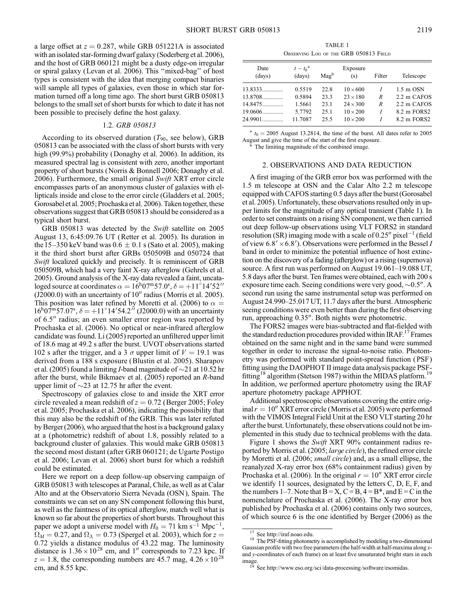a large offset at  $z = 0.287$ , while GRB 051221A is associated with an isolated star-forming dwarf galaxy (Soderberg et al. 2006), and the host of GRB 060121 might be a dusty edge-on irregular or spiral galaxy (Levan et al. 2006). This ''mixed-bag'' of host types is consistent with the idea that merging compact binaries will sample all types of galaxies, even those in which star formation turned off a long time ago. The short burst GRB 050813 belongs to the small set of short bursts for which to date it has not been possible to precisely define the host galaxy.

### 1.2. GRB 050813

According to its observed duration  $(T_{90}$ , see below), GRB 050813 can be associated with the class of short bursts with very high (99.9%) probability (Donaghy et al. 2006). In addition, its measured spectral lag is consistent with zero, another important property of short bursts (Norris & Bonnell 2006; Donaghy et al. 2006). Furthermore, the small original Swift XRT error circle encompasses parts of an anonymous cluster of galaxies with ellipticals inside and close to the error circle (Gladders et al. 2005; Gorosabel et al. 2005; Prochaska et al. 2006). Taken together, these observations suggest that GRB 050813 should be considered as a typical short burst.

GRB 050813 was detected by the Swift satellite on 2005 August 13, 6:45:09.76 UT (Retter et al. 2005). Its duration in the 15–350 keV band was  $0.6 \pm 0.1$  s (Sato et al. 2005), making it the third short burst after GRBs 050509B and 050724 that Swift localized quickly and precisely. It is reminiscent of GRB 050509B, which had a very faint X-ray afterglow (Gehrels et al. 2005). Ground analysis of the X-ray data revealed a faint, uncataloged source at coordinates  $\alpha = 16^{\text{h}}07^{\text{m}}57.0^{\text{s}}, \delta = +11^{\circ}14'52''$  $($ J2000.0 $)$  with an uncertainty of 10 $^{\prime\prime}$  radius (Morris et al. 2005). This position was later refined by Moretti et al. (2006) to  $\alpha =$  $16^{h}07^{m}57.07^{s}$ ,  $\delta = +11^{\circ}14'54.2''$  (J2000.0) with an uncertainty of 6.5" radius; an even smaller error region was reported by Prochaska et al. (2006). No optical or near-infrared afterglow candidate was found. Li (2005) reported an unfiltered upper limit of 18.6 mag at 49.2 s after the burst. UVOT observations started 102 s after the trigger, and a 3  $\sigma$  upper limit of  $V = 19.1$  was derived from a 188 s exposure (Blustin et al. 2005). Sharapov et al. (2005) found a limiting *I*-band magnitude of  $\sim$ 21 at 10.52 hr after the burst, while Bikmaev et al. (2005) reported an R-band upper limit of  $\sim$ 23 at 12.75 hr after the event.

Spectroscopy of galaxies close to and inside the XRT error circle revealed a mean redshift of  $z = 0.72$  (Berger 2005; Foley et al. 2005; Prochaska et al. 2006), indicating the possibility that this may also be the redshift of the GRB. This was later refuted by Berger (2006), who argued that the host is a background galaxy at a (photometric) redshift of about 1.8, possibly related to a background cluster of galaxies. This would make GRB 050813 the second most distant (after GRB 060121; de Ugarte Postigo et al. 2006; Levan et al. 2006) short burst for which a redshift could be estimated.

Here we report on a deep follow-up observing campaign of GRB 050813 with telescopes at Paranal, Chile, as well as at Calar Alto and at the Observatorio Sierra Nevada (OSN ), Spain. The constraints we can set on any SN component following this burst, as well as the faintness of its optical afterglow, match well what is known so far about the properties of short bursts. Throughout this paper we adopt a universe model with  $H_0 = 71$  km s<sup>-1</sup> Mpc<sup>-1</sup>,  $\Omega_M = 0.27$ , and  $\Omega_{\Lambda} = 0.73$  (Spergel et al. 2003), which for  $z =$ 0:72 yields a distance modulus of 43.22 mag. The luminosity distance is  $1.36 \times 10^{28}$  cm, and 1" corresponds to 7.23 kpc. If  $z = 1.8$ , the corresponding numbers are 45.7 mag,  $4.26 \times 10^{28}$ cm, and 8.55 kpc.

TABLE 1 Observing Log of the GRB 050813 Field

| Date<br>(days) | $t-t_0^{\rm a}$<br>(days) | $\text{Mag}^b$ | Exposure<br>(s) | Filter | Telescope           |
|----------------|---------------------------|----------------|-----------------|--------|---------------------|
| 13.8333        | 0.5519                    | 22.8           | $10 \times 600$ |        | $1.5 \text{ m}$ OSN |
| $13.8708$      | 0.5894                    | 23.3           | $23 \times 180$ | R      | 2.2 m CAFOS         |
| $14.8475$      | 1.5661                    | 23.1           | $24 \times 300$ | R      | 2.2 m CAFOS         |
| $19.0606$      | 5.7792                    | 25.1           | $10 \times 200$ | I      | 8.2 m FORS2         |
| $24.9901$      | 11.7087                   | 25.5           | $10 \times 200$ |        | 8.2 m FORS2         |

 $a_{t0}$  = 2005 August 13.2814, the time of the burst. All dates refer to 2005 August and give the time of the start of the first exposure.<br><sup>b</sup> The limiting magnitude of the combined image.

# 2. OBSERVATIONS AND DATA REDUCTION

A first imaging of the GRB error box was performed with the 1.5 m telescope at OSN and the Calar Alto 2.2 m telescope equipped with CAFOS starting 0.5 days after the burst (Gorosabel et al. 2005). Unfortunately, these observations resulted only in upper limits for the magnitude of any optical transient (Table 1). In order to set constraints on a rising SN component, we then carried out deep follow-up observations using VLT FORS2 in standard resolution (SR) imaging mode with a scale of  $0.25''$  pixel<sup>-1</sup> (field of view 6.8'  $\times$  6.8'). Observations were performed in the Bessel *I* band in order to minimize the potential influence of host extinction on the discovery of a fading (afterglow) or a rising (supernova) source. A first run was performed on August 19.061–19.088 UT, 5.8 days after the burst. Ten frames were obtained, each with 200 s exposure time each. Seeing conditions were very good,  $\sim 0.5$ ". A second run using the same instrumental setup was performed on August 24.990-25.017 UT, 11.7 days after the burst. Atmospheric seeing conditions were even better than during the first observing run, approaching 0.35". Both nights were photometric.

The FORS2 images were bias-subtracted and flat-fielded with the standard reduction procedures provided within  $IRAF<sup>17</sup>$  Frames obtained on the same night and in the same band were summed together in order to increase the signal-to-noise ratio. Photometry was performed with standard point-spread function (PSF) fitting using the DAOPHOT II image data analysis package PSFfitting<sup>18</sup> algorithm (Stetson 1987) within the MIDAS platform.<sup>19</sup> In addition, we performed aperture photometry using the IRAF aperture photometry package APPHOT.

Additional spectroscopic observations covering the entire original  $r = 10$ <sup>n</sup> XRT error circle (Morris et al. 2005) were performed with the VIMOS Integral Field Unit at the ESO VLT starting 20 hr after the burst. Unfortunately, these observations could not be implemented in this study due to technical problems with the data.

Figure 1 shows the *Swift* XRT 90% containment radius reported by Morris et al. (2005; *large circle*), the refined error circle by Moretti et al. (2006; small circle) and, as a small ellipse, the reanalyzed X-ray error box (68% containment radius) given by Prochaska et al. (2006). In the original  $r = 10<sup>0</sup>$  XRT error circle we identify 11 sources, designated by the letters C, D, E, F, and the numbers 1–7. Note that  $B = X$ ,  $C = B$ ,  $4 = B^*$ , and  $E = C$  in the nomenclature of Prochaska et al. (2006). The X-ray error box published by Prochaska et al. (2006) contains only two sources, of which source 6 is the one identified by Berger (2006) as the

<sup>&</sup>lt;sup>17</sup> See http://iraf.noao.edu. 18 The PSF-fitting photometry is accomplished by modeling a two-dimensional Gaussian profile with two free parameters (the half-width at half-maxima along xand y-coordinates of each frame) on at least five unsaturated bright stars in each image. <sup>19</sup> See http://www.eso.org/sci/data-processing/software/esomidas.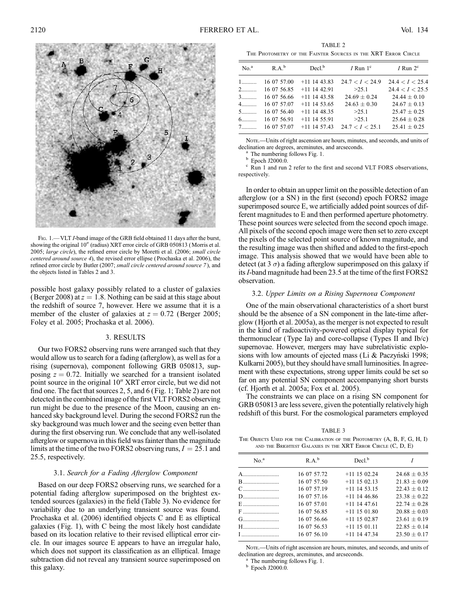

FIG. 1.—VLT *I*-band image of the GRB field obtained 11 days after the burst, showing the original 10" (radius) XRT error circle of GRB 050813 (Morris et al. 2005; large circle), the refined error circle by Moretti et al. (2006; small circle centered around source 4), the revised error ellipse ( Prochaska et al. 2006), the refined error circle by Butler (2007; small circle centered around source 7), and the objects listed in Tables 2 and 3.

possible host galaxy possibly related to a cluster of galaxies (Berger 2008) at  $z = 1.8$ . Nothing can be said at this stage about the redshift of source 7, however. Here we assume that it is a member of the cluster of galaxies at  $z = 0.72$  (Berger 2005; Foley et al. 2005; Prochaska et al. 2006).

#### 3. RESULTS

Our two FORS2 observing runs were arranged such that they would allow us to search for a fading (afterglow), as well as for a rising (supernova), component following GRB 050813, supposing  $z = 0.72$ . Initially we searched for a transient isolated point source in the original 10" XRT error circle, but we did not find one. The fact that sources 2, 5, and 6 (Fig. 1; Table 2) are not detected in the combined image of the first VLT FORS2 observing run might be due to the presence of the Moon, causing an enhanced sky background level. During the second FORS2 run the sky background was much lower and the seeing even better than during the first observing run. We conclude that any well-isolated afterglow or supernova in this field was fainter than the magnitude limits at the time of the two FORS2 observing runs,  $I = 25.1$  and 25.5, respectively.

# 3.1. Search for a Fading Afterglow Component

Based on our deep FORS2 observing runs, we searched for a potential fading afterglow superimposed on the brightest extended sources (galaxies) in the field (Table 3). No evidence for variability due to an underlying transient source was found. Prochaska et al. (2006) identified objects C and E as elliptical galaxies (Fig. 1), with C being the most likely host candidate based on its location relative to their revised elliptical error circle. In our images source E appears to have an irregular halo, which does not support its classification as an elliptical. Image subtraction did not reveal any transient source superimposed on this galaxy.

TABLE 2 The Photometry of the Fainter Sources in the XRT Error Circle

| No. <sup>a</sup>                  | $R.A.^b$    | $Decl^b$       | <i>I</i> Run $1^{\circ}$ | $I$ Run $2^c$    |
|-----------------------------------|-------------|----------------|--------------------------|------------------|
| $1$                               | 16 07 57.00 | $+11$ 14 43.83 | 24.7 < I < 24.9          | 24.4 < I < 25.4  |
| $2 \left( \frac{1}{2} \right)$    | 16 07 56.85 | $+11$ 14 42.91 | >25.1                    | 24.4 < I < 25.5  |
| $3$                               | 16 07 56.66 | $+11$ 14 43.58 | $24.69 \pm 0.24$         | $24.44 + 0.10$   |
| $\overline{4}$ and $\overline{4}$ | 16 07 57.07 | $+11$ 14 53.65 | $24.63 \pm 0.30$         | $24.67 \pm 0.13$ |
| $5$                               | 16 07 56.40 | $+11$ 14 48.35 | >25.1                    | $25.47 \pm 0.25$ |
| $6$                               | 16 07 56.91 | $+11$ 14 55.91 | >25.1                    | $25.64 + 0.28$   |
| 7                                 | 16 07 57.07 | $+11$ 14 57.43 | 24.7 < I < 25.1          | $25.41 + 0.25$   |

NOTE.—Units of right ascension are hours, minutes, and seconds, and units of declination are degrees, arcminutes, and arcseconds.<br>
<sup>a</sup> The numbering follows Fig. 1.<br>
<sup>b</sup> Epoch J2000.0.<br>
<sup>c</sup> Run 1 and run 2 refer to the first and second VLT FORS observations,

respectively.

In order to obtain an upper limit on the possible detection of an afterglow (or a SN) in the first (second) epoch FORS2 image superimposed source E, we artificially added point sources of different magnitudes to E and then performed aperture photometry. These point sources were selected from the second epoch image. All pixels of the second epoch image were then set to zero except the pixels of the selected point source of known magnitude, and the resulting image was then shifted and added to the first-epoch image. This analysis showed that we would have been able to detect (at 3  $\sigma$ ) a fading afterglow superimposed on this galaxy if its *I*-band magnitude had been 23.5 at the time of the first FORS2 observation.

#### 3.2. Upper Limits on a Rising Supernova Component

One of the main observational characteristics of a short burst should be the absence of a SN component in the late-time afterglow (Hjorth et al. 2005a), as the merger is not expected to result in the kind of radioactivity-powered optical display typical for thermonuclear (Type Ia) and core-collapse (Types II and Ib/c) supernovae. However, mergers may have subrelativistic explosions with low amounts of ejected mass (Li & Paczyński 1998; Kulkarni 2005), but they should have small luminosities. In agreement with these expectations, strong upper limits could be set so far on any potential SN component accompanying short bursts (cf. Hjorth et al. 2005a; Fox et al. 2005).

The constraints we can place on a rising SN component for GRB 050813 are less severe, given the potentially relatively high redshift of this burst. For the cosmological parameters employed

TABLE 3 THE OBJECTS USED FOR THE CALIBRATION OF THE PHOTOMETRY  $(A, B, F, G, H, I)$ and the Brightest Galaxies in the XRT Error Circle (C, D, E)

| No. <sup>a</sup> | $R A^b$     | Decl <sup>b</sup> |                  |  |
|------------------|-------------|-------------------|------------------|--|
| A                | 16 07 57.72 | $+11$ 15 02.24    | $24.68 + 0.35$   |  |
|                  | 16 07 57.50 | $+11$ 15 02.13    | $21.83 \pm 0.09$ |  |
|                  | 16 07 57.19 | $+11$ 14 53.15    | $22.43 + 0.12$   |  |
| $D$              | 16 07 57.16 | $+11$ 14 46.86    | $23.38 + 0.22$   |  |
|                  | 16 07 57.01 | $+11$ 14 47.61    | $22.74 + 0.28$   |  |
| $F$              | 16 07 56.85 | $+11$ 15 01.80    | $20.88 + 0.03$   |  |
|                  | 16 07 56.66 | $+11$ 15 02.87    | $23.61 + 0.19$   |  |
| H                | 16 07 56.53 | $+11$ 15 01.11    | $22.85 + 0.14$   |  |
| I                | 16 07 56.10 | $+11$ 14 47.34    | $23.50 + 0.17$   |  |

NOTE.—Units of right ascension are hours, minutes, and seconds, and units of declination are degrees, arcminutes, and arcseconds.<br><sup>a</sup> The numbering follows Fig. 1.<br><sup>b</sup> Epoch J2000.0.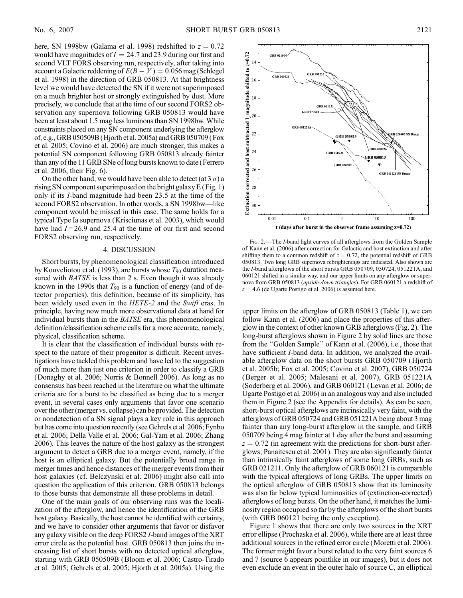here, SN 1998bw (Galama et al. 1998) redshifted to  $z = 0.72$ would have magnitudes of  $I = 24.7$  and 23.9 during our first and second VLT FORS observing run, respectively, after taking into account a Galactic reddening of  $E(B - V) = 0.056$  mag (Schlegel et al. 1998) in the direction of GRB 050813. At that brightness level we would have detected the SN if it were not superimposed on a much brighter host or strongly extinguished by dust. More precisely, we conclude that at the time of our second FORS2 observation any supernova following GRB 050813 would have been at least about 1.5 mag less luminous than SN 1998bw. While constraints placed on any SN component underlying the afterglow of, e.g., GRB 050509B (Hjorth et al. 2005a) and GRB 050709 (Fox et al. 2005; Covino et al. 2006) are much stronger, this makes a potential SN component following GRB 050813 already fainter than any of the 11 GRB SNe of long bursts known to date (Ferrero et al. 2006, their Fig. 6).

On the other hand, we would have been able to detect (at 3  $\sigma$ ) a rising SN component superimposed on the bright galaxy E (Fig. 1) only if its I-band magnitude had been 23.5 at the time of the second FORS2 observation. In other words, a SN 1998bw—like component would be missed in this case. The same holds for a typical Type Ia supernova (Krisciunas et al. 2003), which would have had  $I = 26.9$  and 25.4 at the time of our first and second FORS2 observing run, respectively.

#### 4. DISCUSSION

Short bursts, by phenomenological classification introduced by Kouveliotou et al. (1993), are bursts whose  $T_{90}$  duration measured with BATSE is less than 2 s. Even though it was already known in the 1990s that  $T_{90}$  is a function of energy (and of detector properties), this definition, because of its simplicity, has been widely used even in the HETE-2 and the Swift eras. In principle, having now much more observational data at hand for individual bursts than in the BATSE era, this phenomenological definition/classification scheme calls for a more accurate, namely, physical, classification scheme.

It is clear that the classification of individual bursts with respect to the nature of their progenitor is difficult. Recent investigations have tackled this problem and have led to the suggestion of much more than just one criterion in order to classify a GRB (Donaghy et al. 2006; Norris & Bonnell 2006). As long as no consensus has been reached in the literature on what the ultimate criteria are for a burst to be classified as being due to a merger event, in several cases only arguments that favor one scenario over the other (merger vs. collapse) can be provided. The detection or nondetection of a SN signal plays a key role in this approach but has come into question recently (see Gehrels et al. 2006; Fynbo et al. 2006; Della Valle et al. 2006; Gal-Yam et al. 2006; Zhang 2006). This leaves the nature of the host galaxy as the strongest argument to detect a GRB due to a merger event, namely, if the host is an elliptical galaxy. But the potentially broad range in merger times and hence distances of the merger events from their host galaxies (cf. Belczynski et al. 2006) might also call into question the application of this criterion. GRB 050813 belongs to those bursts that demonstrate all these problems in detail.

One of the main goals of our observing runs was the localization of the afterglow, and hence the identification of the GRB host galaxy. Basically, the host cannot be identified with certainty, and we have to consider other arguments that favor or disfavor any galaxy visible on the deep FORS2 I-band images of the XRT error circle as the potential host. GRB 050813 then joins the increasing list of short bursts with no detected optical afterglow, starting with GRB 050509B (Bloom et al. 2006; Castro-Tirado et al. 2005; Gehrels et al. 2005; Hjorth et al. 2005a). Using the



FIG. 2.— The *I*-band light curves of all afterglows from the Golden Sample of Kann et al. (2006) after correction for Galactic and host extinction and after shifting them to a common redshift of  $z = 0.72$ , the potential redshift of GRB 050813. Two long GRB supernova rebrightenings are indicated. Also shown are the I-band afterglows of the short bursts GRB 050709, 050724, 051221A, and 060121 shifted in a similar way, and our upper limits on any afterglow or supernova from GRB 050813 (upside-down triangles). For GRB 060121 a redshift of  $z = 4.6$  (de Ugarte Postigo et al. 2006) is assumed here.

upper limits on the afterglow of GRB 050813 (Table 1), we can follow Kann et al. (2006) and place the properties of this afterglow in the context of other known GRB afterglows (Fig. 2). The long-burst afterglows shown in Figure 2 by solid lines are those from the ''Golden Sample'' of Kann et al. (2006), i.e., those that have sufficient *I*-band data. In addition, we analyzed the available afterglow data on the short bursts GRB 050709 (Hjorth et al. 2005b; Fox et al. 2005; Covino et al. 2007), GRB 050724 (Berger et al. 2005; Malesani et al. 2007), GRB 051221A (Soderberg et al. 2006), and GRB 060121 (Levan et al. 2006; de Ugarte Postigo et al. 2006) in an analogous way and also included them in Figure 2 (see the Appendix for details). As can be seen, short-burst optical afterglows are intrinsically very faint, with the afterglows of GRB 050724 and GRB 051221A being about 3 mag fainter than any long-burst afterglow in the sample, and GRB 050709 being 4 mag fainter at 1 day after the burst and assuming  $z = 0.72$  (in agreement with the predictions for short-burst afterglows; Panaitescu et al. 2001). They are also significantly fainter than intrinsically faint afterglows of some long GRBs, such as GRB 021211. Only the afterglow of GRB 060121 is comparable with the typical afterglows of long GRBs. The upper limits on the optical afterglow of GRB 050813 show that its luminosity was also far below typical luminosities of (extinction-corrected) afterglows of long bursts. On the other hand, it matches the luminosity region occupied so far by the afterglows of the short bursts (with GRB 060121 being the only exception).

Figure 1 shows that there are only two sources in the XRT error ellipse (Prochaska et al. 2006), while there are at least three additional sources in the refined error circle (Moretti et al. 2006). The former might favor a burst related to the very faint sources 6 and 7 (source 6 appears pointlike in our images), but it does not even exclude an event in the outer halo of source C, an elliptical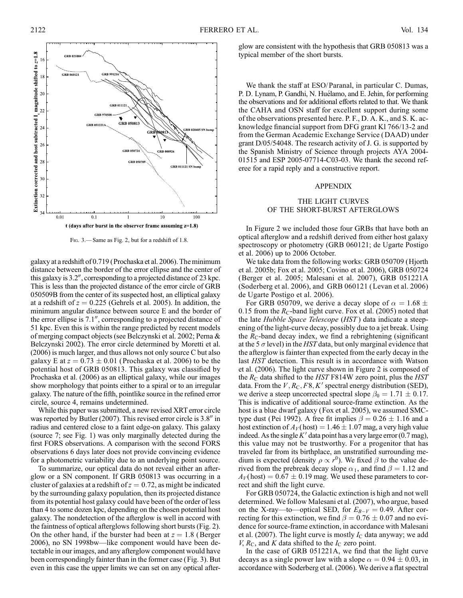

Fig. 3.— Same as Fig. 2, but for a redshift of 1.8.

galaxy at a redshift of 0.719 (Prochaska et al. 2006). The minimum distance between the border of the error ellipse and the center of this galaxy is  $3.2^{\prime\prime}$ , corresponding to a projected distance of 23 kpc. This is less than the projected distance of the error circle of GRB 050509B from the center of its suspected host, an elliptical galaxy at a redshift of  $z = 0.225$  (Gehrels et al. 2005). In addition, the minimum angular distance between source E and the border of the error ellipse is  $7.1$ ", corresponding to a projected distance of 51 kpc. Even this is within the range predicted by recent models of merging compact objects (see Belczynski et al. 2002; Perna & Belczynski 2002). The error circle determined by Moretti et al. (2006) is much larger, and thus allows not only source C but also galaxy E at  $z = 0.73 \pm 0.01$  (Prochaska et al. 2006) to be the potential host of GRB 050813. This galaxy was classified by Prochaska et al. (2006) as an elliptical galaxy, while our images show morphology that points either to a spiral or to an irregular galaxy. The nature of the fifth, pointlike source in the refined error circle, source 4, remains undetermined.

While this paper was submitted, a new revised XRT error circle was reported by Butler (2007). This revised error circle is  $3.8$ <sup> $\prime\prime$ </sup> in radius and centered close to a faint edge-on galaxy. This galaxy (source 7; see Fig. 1) was only marginally detected during the first FORS observations. A comparison with the second FORS observations 6 days later does not provide convincing evidence for a photometric variability due to an underlying point source.

To summarize, our optical data do not reveal either an afterglow or a SN component. If GRB 050813 was occurring in a cluster of galaxies at a redshift of  $z = 0.72$ , as might be indicated by the surrounding galaxy population, then its projected distance from its potential host galaxy could have been of the order of less than 4 to some dozen kpc, depending on the chosen potential host galaxy. The nondetection of the afterglow is well in accord with the faintness of optical afterglows following short bursts (Fig. 2). On the other hand, if the burster had been at  $z = 1.8$  (Berger 2006), no SN 1998bw—like component would have been detectable in our images, and any afterglow component would have been correspondingly fainter than in the former case (Fig. 3). But even in this case the upper limits we can set on any optical afterglow are consistent with the hypothesis that GRB 050813 was a typical member of the short bursts.

We thank the staff at ESO/ Paranal, in particular C. Dumas, P. D. Lynam, P. Gandhi, N. Huélamo, and E. Jehin, for performing the observations and for additional efforts related to that. We thank the CAHA and OSN staff for excellent support during some of the observations presented here. P. F., D. A. K., and S. K. acknowledge financial support from DFG grant Kl 766/13-2 and from the German Academic Exchange Service (DAAD) under grant D/05/54048. The research activity of J. G. is supported by the Spanish Ministry of Science through projects AYA 2004- 01515 and ESP 2005-07714-C03-03. We thank the second referee for a rapid reply and a constructive report.

#### APPENDIX

# THE LIGHT CURVES OF THE SHORT-BURST AFTERGLOWS

In Figure 2 we included those four GRBs that have both an optical afterglow and a redshift derived from either host galaxy spectroscopy or photometry (GRB 060121; de Ugarte Postigo et al. 2006) up to 2006 October.

We take data from the following works: GRB 050709 (Hjorth et al. 2005b; Fox et al. 2005; Covino et al. 2006), GRB 050724 (Berger et al. 2005; Malesani et al. 2007), GRB 051221A (Soderberg et al. 2006), and GRB 060121 (Levan et al. 2006) de Ugarte Postigo et al. 2006).

For GRB 050709, we derive a decay slope of  $\alpha = 1.68 \pm 1.68$ 0.15 from the  $R_C$ -band light curve. Fox et al. (2005) noted that the late Hubble Space Telescope (HST) data indicate a steepening of the light-curve decay, possibly due to a jet break. Using the  $R_C$ -band decay index, we find a rebrightening (significant at the 5  $\sigma$  level) in the HST data, but only marginal evidence that the afterglow is fainter than expected from the early decay in the last HST detection. This result is in accordance with Watson et al. (2006). The light curve shown in Figure 2 is composed of the  $R_C$  data shifted to the HST F814W zero point, plus the HST data. From the  $V, R_C, F8, K'$  spectral energy distribution (SED), we derive a steep uncorrected spectral slope  $\beta_0 = 1.71 \pm 0.17$ . This is indicative of additional source-frame extinction. As the host is a blue dwarf galaxy (Fox et al. 2005), we assumed SMCtype dust (Pei 1992). A free fit implies  $\beta = 0.26 \pm 1.16$  and a host extinction of  $A_V$ (host) = 1.46  $\pm$  1.07 mag, a very high value indeed. As the single  $K'$  data point has a very large error (0.7 mag), this value may not be trustworthy. For a progenitor that has traveled far from its birthplace, an unstratified surrounding medium is expected (density  $\rho \propto r^0$ ). We fixed  $\beta$  to the value derived from the prebreak decay slope  $\alpha_1$ , and find  $\beta = 1.12$  and  $A_V$ (host) = 0.67  $\pm$  0.19 mag. We used these parameters to correct and shift the light curve.

For GRB 050724, the Galactic extinction is high and not well determined. We follow Malesani et al. (2007), who argue, based on the X-ray—to—optical SED, for  $E_{B-V} = 0.49$ . After correcting for this extinction, we find  $\beta = 0.76 \pm 0.07$  and no evidence for source-frame extinction, in accordance with Malesani et al. (2007). The light curve is mostly  $I_C$  data anyway; we add  $V, R_{\rm C}$ , and  $K$  data shifted to the  $I_{\rm C}$  zero point.

In the case of GRB 051221A, we find that the light curve decays as a single power law with a slope  $\alpha = 0.94 \pm 0.03$ , in accordance with Soderberg et al. (2006). We derive a flat spectral